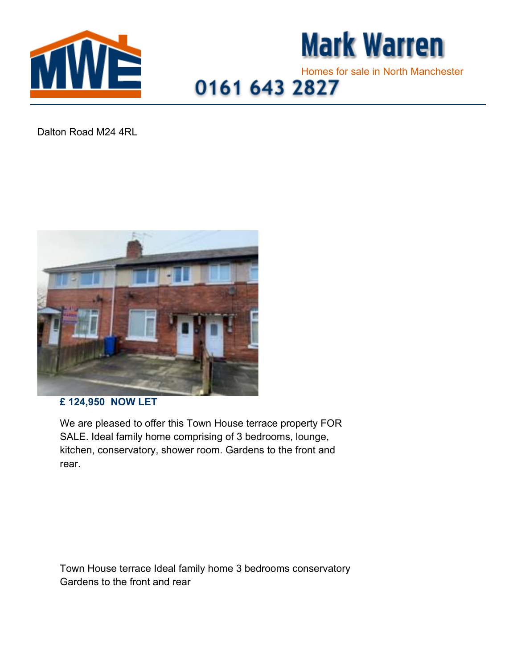



## Homes for sale in North Manchester<br>0161 643 2827

Dalton Road M24 4RL



## **£ 124,950 NOW LET**

We are pleased to offer this Town House terrace property FOR SALE. Ideal family home comprising of 3 bedrooms, lounge, kitchen, conservatory, shower room. Gardens to the front and rear.

Town House terrace Ideal family home 3 bedrooms conservatory Gardens to the front and rear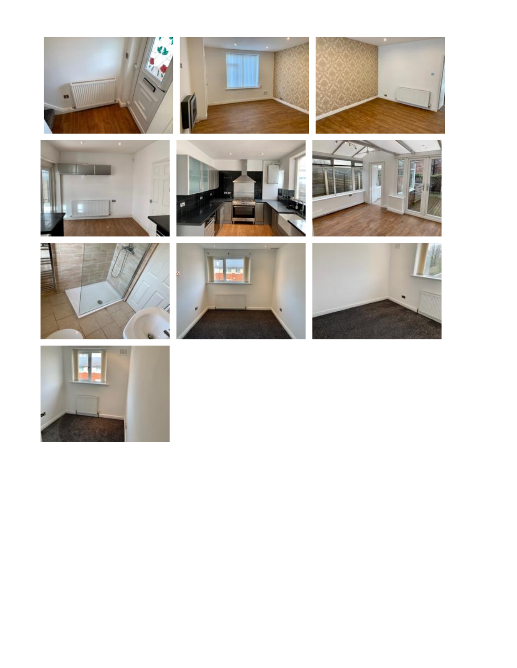